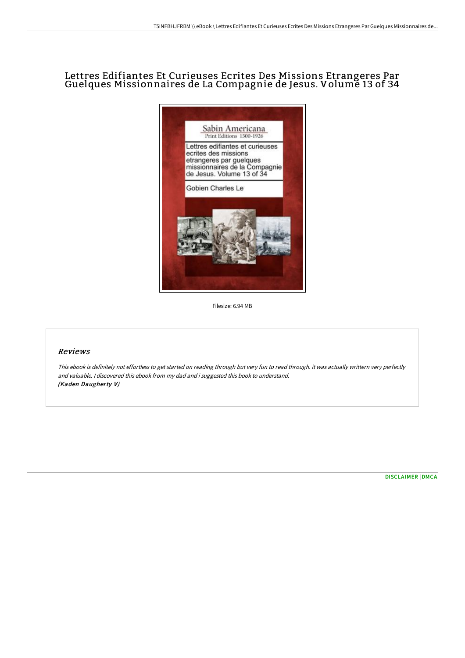# Lettres Edifiantes Et Curieuses Ecrites Des Missions Etrangeres Par Guelques Missionnaires de La Compagnie de Jesus. Volume 13 of 34



Filesize: 6.94 MB

#### Reviews

This ebook is definitely not effortless to get started on reading through but very fun to read through. it was actually writtern very perfectly and valuable. <sup>I</sup> discovered this ebook from my dad and i suggested this book to understand. (Kaden Daugherty V)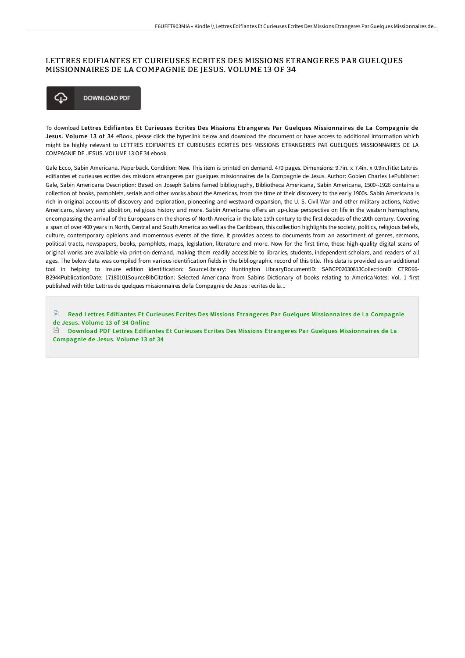## LETTRES EDIFIANTES ET CURIEUSES ECRITES DES MISSIONS ETRANGERES PAR GUELQUES MISSIONNAIRES DE LA COMPAGNIE DE JESUS. VOLUME 13 OF 34



To download Lettres Edifiantes Et Curieuses Ecrites Des Missions Etrangeres Par Guelques Missionnaires de La Compagnie de Jesus. Volume 13 of 34 eBook, please click the hyperlink below and download the document or have access to additional information which might be highly relevant to LETTRES EDIFIANTES ET CURIEUSES ECRITES DES MISSIONS ETRANGERES PAR GUELQUES MISSIONNAIRES DE LA COMPAGNIE DE JESUS. VOLUME 13 OF 34 ebook.

Gale Ecco, Sabin Americana. Paperback. Condition: New. This item is printed on demand. 470 pages. Dimensions: 9.7in. x 7.4in. x 0.9in.Title: Lettres edifiantes et curieuses ecrites des missions etrangeres par guelques missionnaires de la Compagnie de Jesus. Author: Gobien Charles LePublisher: Gale, Sabin Americana Description: Based on Joseph Sabins famed bibliography, Bibliotheca Americana, Sabin Americana, 1500--1926 contains a collection of books, pamphlets, serials and other works about the Americas, from the time of their discovery to the early 1900s. Sabin Americana is rich in original accounts of discovery and exploration, pioneering and westward expansion, the U. S. Civil War and other military actions, Native Americans, slavery and abolition, religious history and more. Sabin Americana offers an up-close perspective on life in the western hemisphere, encompassing the arrival of the Europeans on the shores of North America in the late 15th century to the first decades of the 20th century. Covering a span of over 400 years in North, Central and South America as well as the Caribbean, this collection highlights the society, politics, religious beliefs, culture, contemporary opinions and momentous events of the time. It provides access to documents from an assortment of genres, sermons, political tracts, newspapers, books, pamphlets, maps, legislation, literature and more. Now for the first time, these high-quality digital scans of original works are available via print-on-demand, making them readily accessible to libraries, students, independent scholars, and readers of all ages. The below data was compiled from various identification fields in the bibliographic record of this title. This data is provided as an additional tool in helping to insure edition identification: SourceLibrary: Huntington LibraryDocumentID: SABCP02030613CollectionID: CTRG96- B2944PublicationDate: 17180101SourceBibCitation: Selected Americana from Sabins Dictionary of books relating to AmericaNotes: Vol. 1 first published with title: Lettres de quelques missionnaires de la Compagnie de Jesus : ecrites de la...

Read Lettres Edifiantes Et Curieuses Ecrites Des Missions Etrangeres Par Guelques [Missionnaires](http://techno-pub.tech/lettres-edifiantes-et-curieuses-ecrites-des-miss-18.html) de La Compagnie de Jesus. Volume 13 of 34 Online

Download PDF Lettres Edifiantes Et Curieuses Ecrites Des Missions Etrangeres Par Guelques [Missionnaires](http://techno-pub.tech/lettres-edifiantes-et-curieuses-ecrites-des-miss-18.html) de La Compagnie de Jesus. Volume 13 of 34